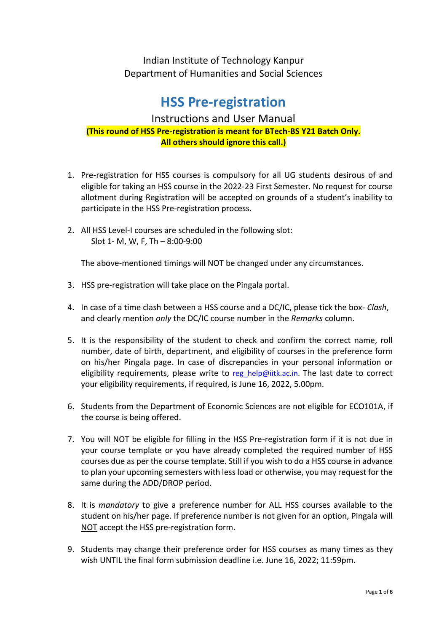Indian Institute of Technology Kanpur Department of Humanities and Social Sciences

# **HSS Pre-registration**

## Instructions and User Manual **(This round of HSS Pre-registration is meant for BTech-BS Y21 Batch Only. All others should ignore this call.)**

- 1. Pre-registration for HSS courses is compulsory for all UG students desirous of and eligible for taking an HSS course in the 2022-23 First Semester. No request for course allotment during Registration will be accepted on grounds of a student's inability to participate in the HSS Pre-registration process.
- 2. All HSS Level-I courses are scheduled in the following slot: Slot 1- M, W, F, Th – 8:00-9:00

The above-mentioned timings will NOT be changed under any circumstances.

- 3. HSS pre-registration will take place on the Pingala portal.
- 4. In case of a time clash between a HSS course and a DC/IC, please tick the box- *Clash*, and clearly mention *only* the DC/IC course number in the *Remarks* column.
- 5. It is the responsibility of the student to check and confirm the correct name, roll number, date of birth, department, and eligibility of courses in the preference form on his/her Pingala page. In case of discrepancies in your personal information or eligibility requirements, please write to [reg\\_help@iitk.ac.in.](mailto:reghelp@iitk.ac.in) The last date to correct your eligibility requirements, if required, is June 16, 2022, 5.00pm.
- 6. Students from the Department of Economic Sciences are not eligible for ECO101A, if the course is being offered.
- 7. You will NOT be eligible for filling in the HSS Pre-registration form if it is not due in your course template or you have already completed the required number of HSS courses due as per the course template. Still if you wish to do a HSS course in advance to plan your upcoming semesters with less load or otherwise, you may request for the same during the ADD/DROP period.
- 8. It is *mandatory* to give a preference number for ALL HSS courses available to the student on his/her page. If preference number is not given for an option, Pingala will NOT accept the HSS pre-registration form.
- 9. Students may change their preference order for HSS courses as many times as they wish UNTIL the final form submission deadline i.e. June 16, 2022; 11:59pm.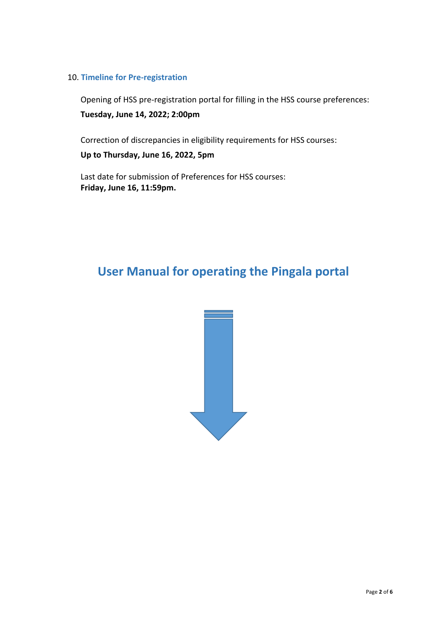#### 10. **Timeline for Pre-registration**

Opening of HSS pre-registration portal for filling in the HSS course preferences: **Tuesday, June 14, 2022; 2:00pm** 

Correction of discrepancies in eligibility requirements for HSS courses:

**Up to Thursday, June 16, 2022, 5pm**

Last date for submission of Preferences for HSS courses: **Friday, June 16, 11:59pm.**

# **User Manual for operating the Pingala portal**

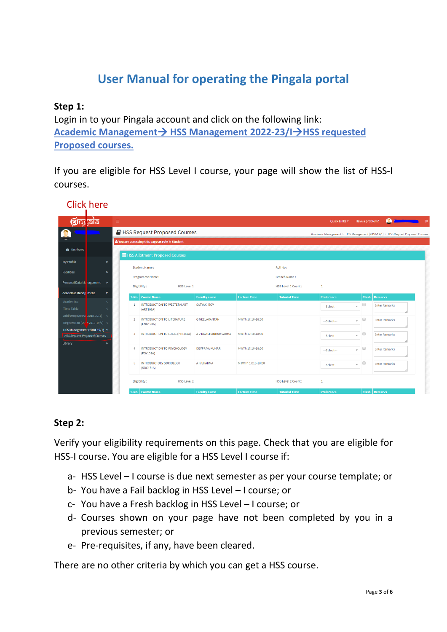# **User Manual for operating the Pingala portal**

#### **Step 1:**

Login in to your Pingala account and click on the following link: **Academic Management**→ **HSS Management 2022-23/I**→**HSS requested Proposed courses.**

If you are eligible for HSS Level I course, your page will show the list of HSS-I courses.

| ৰ্ট্টাস্ট্ৰ ভ্ৰাচ                                                                                                                                            | $\equiv$       |                                                      |                       |                     |                           | Ouick Links $\blacktriangledown$ | Have a problem?                                 | $\bullet$                                                                       |
|--------------------------------------------------------------------------------------------------------------------------------------------------------------|----------------|------------------------------------------------------|-----------------------|---------------------|---------------------------|----------------------------------|-------------------------------------------------|---------------------------------------------------------------------------------|
|                                                                                                                                                              |                | HSS Request Proposed Courses                         |                       |                     |                           |                                  |                                                 | Academic Management > HSS Management (2018-19/1) > HSS Request Proposed Courses |
|                                                                                                                                                              |                | You are accessing this page as role » Student        |                       |                     |                           |                                  |                                                 |                                                                                 |
| <b>3</b> Dashboard                                                                                                                                           |                |                                                      |                       |                     |                           |                                  |                                                 |                                                                                 |
|                                                                                                                                                              |                | <b>E</b> HSS Allotment Proposed Courses              |                       |                     |                           |                                  |                                                 |                                                                                 |
| <b>My Profile</b><br>$\mathbf{v}$                                                                                                                            |                | Student Name:                                        |                       |                     | Roll No:                  |                                  |                                                 |                                                                                 |
| $\mathbf{v}$                                                                                                                                                 |                |                                                      |                       |                     |                           |                                  |                                                 |                                                                                 |
|                                                                                                                                                              |                | Programme Name:                                      |                       |                     | <b>Branch Name:</b>       |                                  |                                                 |                                                                                 |
| Personal Data Management >>                                                                                                                                  |                | Eligibility:<br><b>HSS Level 1</b>                   |                       |                     | <b>HSS Level 1 Count:</b> | $\mathbf{1}$                     |                                                 |                                                                                 |
| <b>Academic Management</b><br>¥                                                                                                                              |                | S.No.   Course Name                                  | <b>Faculty name</b>   | <b>Lecture Time</b> | <b>Tutorial Time</b>      | <b>Preference</b>                |                                                 | Clash Remarks                                                                   |
| Academics                                                                                                                                                    |                |                                                      |                       |                     |                           |                                  |                                                 |                                                                                 |
|                                                                                                                                                              |                |                                                      |                       |                     |                           |                                  |                                                 |                                                                                 |
|                                                                                                                                                              | 1              | INTRODUCTION TO WESTERN ART<br>(ART103A)             | <b>SATYAKI ROY</b>    |                     |                           | ---Select---                     | $\Box$<br>$\mathbf{v}$                          | <b>Enter Remarks</b>                                                            |
|                                                                                                                                                              |                |                                                      |                       |                     |                           |                                  |                                                 |                                                                                 |
|                                                                                                                                                              | $\overline{2}$ | INTRODUCTION TO LITERATURE<br>(ENG123A)              | <b>G NEELAKANTAN</b>  | MWTh 17:10-18:00    |                           | ---Select---                     | $\qquad \qquad \Box$<br>$\mathbf{v}$            | <b>Enter Remarks</b>                                                            |
|                                                                                                                                                              |                |                                                      |                       |                     |                           |                                  |                                                 |                                                                                 |
|                                                                                                                                                              | 3              | INTRODUCTION TO LOGIC (PHI142A)                      | A V RAVISHANKAR SARMA | MWTh 17:10-18:00    |                           | ---Select---                     | $\Box$<br>$\boldsymbol{\mathrm{v}}$             | <b>Enter Remarks</b>                                                            |
| $\mathbf{v}$                                                                                                                                                 |                |                                                      |                       |                     |                           |                                  |                                                 |                                                                                 |
|                                                                                                                                                              | 4              | <b>INTRODUCTION TO PSYCHOLOGY</b><br>$($ PSY151A $)$ | <b>DEVPRIYA KUMAR</b> | MWTh 17:10-18:00    |                           | ---Select---                     | $\qquad \qquad \Box$<br>$\overline{\mathbf{v}}$ | <b>Enter Remarks</b>                                                            |
|                                                                                                                                                              |                |                                                      |                       |                     |                           |                                  |                                                 |                                                                                 |
|                                                                                                                                                              | 5.             | <b>INTRODUCTORY SOCIOLOGY</b><br>(SOC171A)           | A K SHARMA            | MTWTh 17:10-18:00   |                           | ---Select---                     | 0<br>$\overline{\phantom{a}}$                   | <b>Enter Remarks</b>                                                            |
| <b>Time Table</b><br>Add/Drop (Active 2018-19/1) <<br>Registration (Ou r 2018-19/1) <<br>HSS Management (2018-19/1) ~<br><b>HSS Request Proposed Courses</b> |                |                                                      |                       |                     |                           |                                  |                                                 |                                                                                 |
|                                                                                                                                                              |                | Eligibility:<br>HSS Level 2                          |                       |                     | <b>HSS Level 2 Count:</b> | $\mathbf{1}$                     |                                                 |                                                                                 |

# Click here

### **Step 2:**

Verify your eligibility requirements on this page. Check that you are eligible for HSS-I course. You are eligible for a HSS Level I course if:

- a- HSS Level I course is due next semester as per your course template; or
- b- You have a Fail backlog in HSS Level I course; or
- c- You have a Fresh backlog in HSS Level I course; or
- d- Courses shown on your page have not been completed by you in a previous semester; or
- e- Pre-requisites, if any, have been cleared.

There are no other criteria by which you can get a HSS course.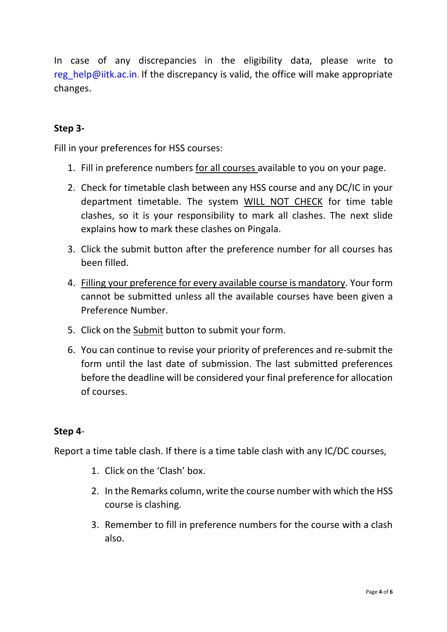In case of any discrepancies in the eligibility data, please write to [reg\\_help@iitk.ac.in](mailto:reghelp@iitk.ac.in). If the discrepancy is valid, the office will make appropriate changes.

### **Step 3-**

Fill in your preferences for HSS courses:

- 1. Fill in preference numbers for all courses available to you on your page.
- 2. Check for timetable clash between any HSS course and any DC/IC in your department timetable. The system WILL NOT CHECK for time table clashes, so it is your responsibility to mark all clashes. The next slide explains how to mark these clashes on Pingala.
- 3. Click the submit button after the preference number for all courses has been filled.
- 4. Filling your preference for every available course is mandatory. Your form cannot be submitted unless all the available courses have been given a Preference Number.
- 5. Click on the Submit button to submit your form.
- 6. You can continue to revise your priority of preferences and re-submit the form until the last date of submission. The last submitted preferences before the deadline will be considered your final preference for allocation of courses.

#### **Step 4**-

Report a time table clash. If there is a time table clash with any IC/DC courses,

- 1. Click on the 'Clash' box.
- 2. In the Remarks column, write the course number with which the HSS course is clashing.
- 3. Remember to fill in preference numbers for the course with a clash also.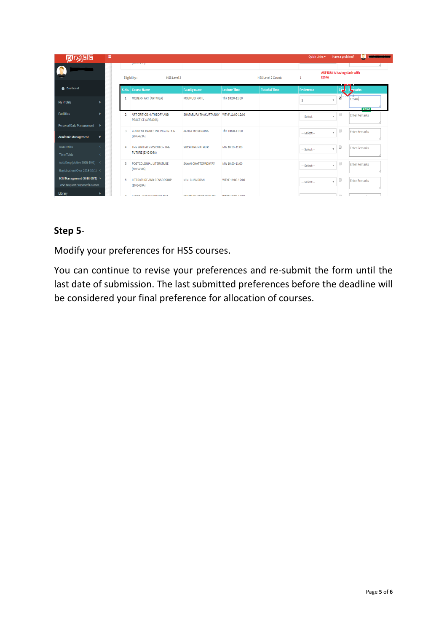| pingala                                                             | Ξ                       |                                                       |                                         |                          |                      | Quick Links ▼                                          | Have a problem?                   |                      |
|---------------------------------------------------------------------|-------------------------|-------------------------------------------------------|-----------------------------------------|--------------------------|----------------------|--------------------------------------------------------|-----------------------------------|----------------------|
|                                                                     |                         | <b>CASAS ESTAT</b><br>Eligibility:<br>HSS Level 2     |                                         |                          | HSS Level 2 Count:   | Л<br>ART402A is having clash with<br><b>EE546</b><br>1 |                                   |                      |
| <b>3</b> Dashboard                                                  |                         | S.No.   Course Name                                   | <b>Faculty name</b>                     | <b>Lecture Time</b>      | <b>Tutorial Time</b> | <b>Preference</b>                                      |                                   | <b>L</b> -marks      |
| <b>My Profile</b>                                                   | $\mathbf{y}$            | MODERN ART (ART402A)                                  | <b>KOUMUDI PATIL</b>                    | ThF 10:00-11:00          |                      | -3                                                     | ✔<br>$\overline{\phantom{a}}$     | EE546.<br>6/100      |
| <b>Facilities</b>                                                   |                         | ART CRITICISM: THEORY AND<br>PRACTICE (ART406A)       | SHATARUPA THAKURTA ROY WThF 11:00-12:00 |                          |                      | ---Select---                                           | ٠                                 | <b>Enter Remarks</b> |
| Personal Data Management<br><b>Academic Management</b>              | $\rightarrow$<br>3<br>¥ | <b>CURRENT ISSUES IN LINGUISTICS</b><br>(ENG423A)     | <b>ACHLA MISRI RAINA</b>                | ThF 10:00-11:00          |                      | $-Seler$                                               | $\Box$<br>$\mathbf{v}$            | <b>Enter Remarks</b> |
| Academics<br><b>Time Table</b>                                      | z                       | THE WRITER'S VISION OF THE<br><b>FUTURE (ENG436A)</b> | SUCHITRA MATHUR                         | MW 10:00-11:00           |                      | ---Select---                                           | $\Box$<br>$\overline{\mathbf{v}}$ | <b>Enter Remarks</b> |
| Add/Drop (Active 2018-19/1) <<br>Registration (Over 2018-19/1) <    | 5                       | POSTCOLONIAL LITERATURE<br>(ENG438A)                  | SAYAN CHATTOPADHYAY                     | MW 10:00-11:00           |                      | $-$ Select $-$                                         | $\Box$<br>$\mathbf{v}$            | <b>Enter Remarks</b> |
| HSS Management (2018-19/1) ~<br><b>HSS Request Proposed Courses</b> | $\mathbf{g}$            | LITERATURE AND CENSORSHIP<br>(ENG439A)                | <b>MINI CHANDRAN</b>                    | WThF 11:00-12:00         |                      | ---Select---                                           | $\Box$<br>$\mathbf{v}$            | <b>Enter Remarks</b> |
| Library                                                             |                         | LAMONHOPO OF COUTH ACIA                               | CULTURAL DUTTA CHAIRLES                 | <b>SEPLE FELON ENLON</b> |                      |                                                        | $\equiv$                          |                      |

# **Step 5**-

Modify your preferences for HSS courses.

You can continue to revise your preferences and re-submit the form until the last date of submission. The last submitted preferences before the deadline will be considered your final preference for allocation of courses.